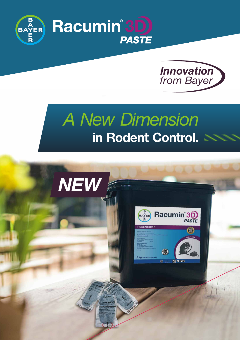



# **in Rodent Control.** *A New Dimension*